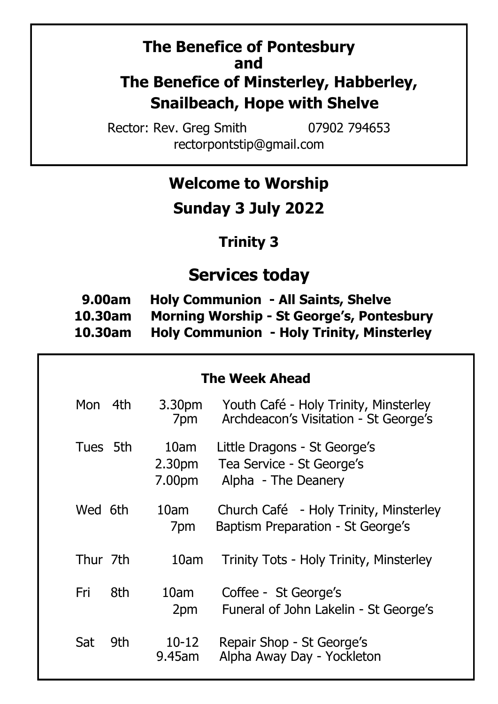# **The Benefice of Pontesbury and The Benefice of Minsterley, Habberley, Snailbeach, Hope with Shelve**

Rector: Rev. Greg Smith 07902 794653 rectorpontstip@gmail.com

# **Welcome to Worship**

# **Sunday 3 July 2022**

# **Trinity 3**

# **Services today**

| 9.00am  | <b>Holy Communion - All Saints, Shelve</b>       |
|---------|--------------------------------------------------|
| 10.30am | <b>Morning Worship - St George's, Pontesbury</b> |
| 10.30am | <b>Holy Communion - Holy Trinity, Minsterley</b> |

|          |     |                                      | <b>The Week Ahead</b>                                                            |
|----------|-----|--------------------------------------|----------------------------------------------------------------------------------|
| Mon 4th  |     | 3.30 <sub>pm</sub><br>7pm            | Youth Café - Holy Trinity, Minsterley<br>Archdeacon's Visitation - St George's   |
| Tues 5th |     | 10am<br>2.30 <sub>pm</sub><br>7.00pm | Little Dragons - St George's<br>Tea Service - St George's<br>Alpha - The Deanery |
| Wed 6th  |     | 10am<br>7pm                          | Church Café - Holy Trinity, Minsterley<br>Baptism Preparation - St George's      |
| Thur 7th |     | 10am                                 | Trinity Tots - Holy Trinity, Minsterley                                          |
| Fri      | 8th | 10am<br>2pm                          | Coffee - St George's<br>Funeral of John Lakelin - St George's                    |
| Sat      | 9th | 10-12<br>9.45am                      | Repair Shop - St George's<br>Alpha Away Day - Yockleton                          |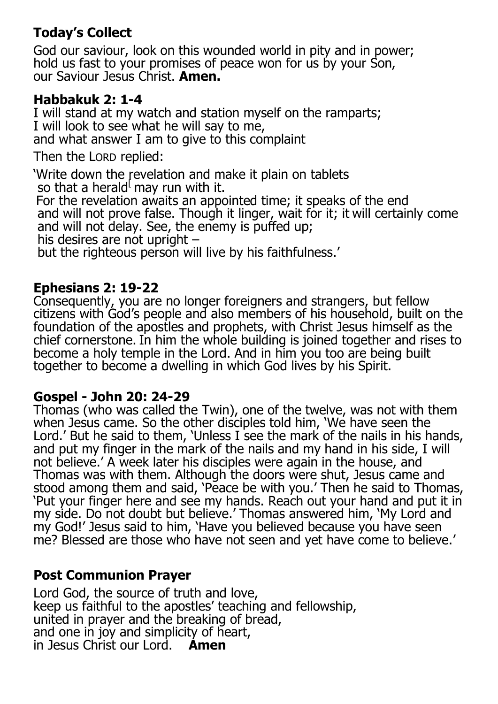## **Today's Collect**

God our saviour, look on this wounded world in pity and in power; hold us fast to your promises of peace won for us by your Son, our Saviour Jesus Christ. **Amen.**

### **Habbakuk 2: 1-4**

I will stand at my watch and station myself on the ramparts; I will look to see what he will say to me, and what answer I am to give to this complaint

Then the LORD replied:

'Write down the revelation and make it plain on tablets so that a herald<sup> $\ell$ </sup> may run with it. For the revelation awaits an appointed time; it speaks of the end and will not prove false. Though it linger, wait for it; it will certainly come and will not delay. See, the enemy is puffed up; his desires are not upright – but the righteous person will live by his faithfulness.'

### **Ephesians 2: 19-22**

Consequently, you are no longer foreigners and strangers, but fellow citizens with God's people and also members of his household, built on the foundation of the apostles and prophets, with Christ Jesus himself as the chief cornerstone. In him the whole building is joined together and rises to become a holy temple in the Lord. And in him you too are being built together to become a dwelling in which God lives by his Spirit.

### **Gospel - John 20: 24-29**

Thomas (who was called the Twin), one of the twelve, was not with them when Jesus came. So the other disciples told him, 'We have seen the Lord.' But he said to them, 'Unless I see the mark of the nails in his hands, and put my finger in the mark of the nails and my hand in his side, I will not believe.' A week later his disciples were again in the house, and Thomas was with them. Although the doors were shut, Jesus came and stood among them and said, 'Peace be with you.' Then he said to Thomas, 'Put your finger here and see my hands. Reach out your hand and put it in my side. Do not doubt but believe.' Thomas answered him, 'My Lord and my God!' Jesus said to him, 'Have you believed because you have seen me? Blessed are those who have not seen and yet have come to believe.'

### **Post Communion Prayer**

Lord God, the source of truth and love, keep us faithful to the apostles' teaching and fellowship, united in prayer and the breaking of bread, and one in joy and simplicity of heart, in Jesus Christ our Lord. **Amen**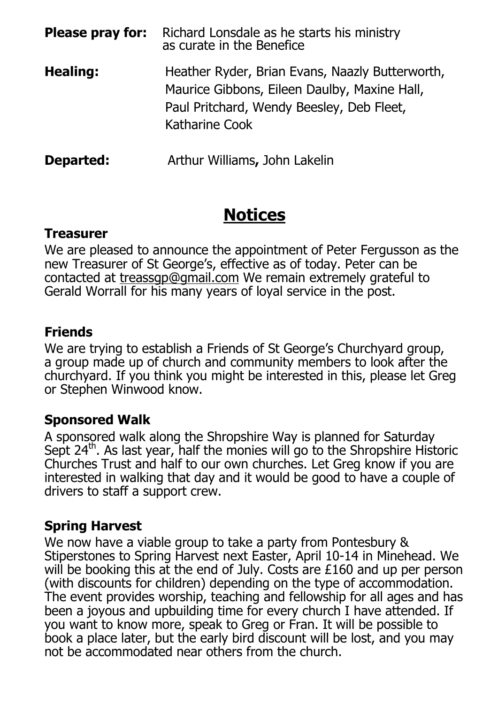| <b>Please pray for:</b> | Richard Lonsdale as he starts his ministry<br>as curate in the Benefice                                                                                        |
|-------------------------|----------------------------------------------------------------------------------------------------------------------------------------------------------------|
| Healing:                | Heather Ryder, Brian Evans, Naazly Butterworth,<br>Maurice Gibbons, Eileen Daulby, Maxine Hall,<br>Paul Pritchard, Wendy Beesley, Deb Fleet,<br>Katharine Cook |
|                         |                                                                                                                                                                |

**Departed:** Arthur Williams**,** John Lakelin

# **Notices**

### **Treasurer**

We are pleased to announce the appointment of Peter Fergusson as the new Treasurer of St George's, effective as of today. Peter can be contacted at [treassgp@gmail.com](mailto:treassgp@gmail.com) We remain extremely grateful to Gerald Worrall for his many years of loyal service in the post.

## **Friends**

We are trying to establish a Friends of St George's Churchyard group, a group made up of church and community members to look after the churchyard. If you think you might be interested in this, please let Greg or Stephen Winwood know.

# **Sponsored Walk**

A sponsored walk along the Shropshire Way is planned for Saturday Sept  $24<sup>th</sup>$ . As last year, half the monies will go to the Shropshire Historic Churches Trust and half to our own churches. Let Greg know if you are interested in walking that day and it would be good to have a couple of drivers to staff a support crew.

# **Spring Harvest**

We now have a viable group to take a party from Pontesbury & Stiperstones to Spring Harvest next Easter, April 10-14 in Minehead. We will be booking this at the end of July. Costs are £160 and up per person (with discounts for children) depending on the type of accommodation. The event provides worship, teaching and fellowship for all ages and has been a joyous and upbuilding time for every church I have attended. If you want to know more, speak to Greg or Fran. It will be possible to book a place later, but the early bird discount will be lost, and you may not be accommodated near others from the church.